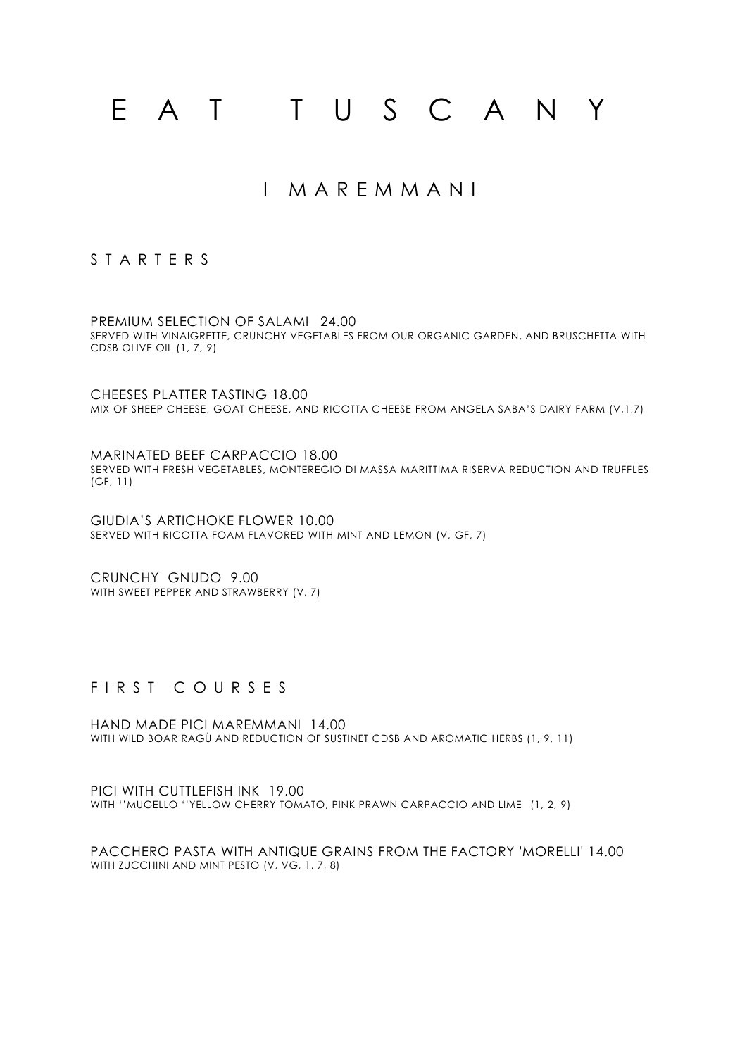# E A T T U S C A N Y

# I M A R E M M A N I

### S T A R T E R S

PREMIUM SELECTION OF SALAMI 24.00 SERVED WITH VINAIGRETTE, CRUNCHY VEGETABLES FROM OUR ORGANIC GARDEN, AND BRUSCHETTA WITH CDSB OLIVE OIL (1, 7, 9)

CHEESES PLATTER TASTING 18.00 MIX OF SHEEP CHEESE, GOAT CHEESE, AND RICOTTA CHEESE FROM ANGELA SABA'S DAIRY FARM (V,1,7)

MARINATED BEEF CARPACCIO 18.00 SERVED WITH FRESH VEGETABLES, MONTEREGIO DI MASSA MARITTIMA RISERVA REDUCTION AND TRUFFLES (GF, 11)

GIUDIA'S ARTICHOKE FLOWER 10.00 SERVED WITH RICOTTA FOAM FLAVORED WITH MINT AND LEMON (V, GF, 7)

CRUNCHY GNUDO 9.00 WITH SWEET PEPPER AND STRAWBERRY (V, 7)

## F I R S T C O U R S E S

HAND MADE PICI MAREMMANI 14.00 WITH WILD BOAR RAGÙ AND REDUCTION OF SUSTINET CDSB AND AROMATIC HERBS (1, 9, 11)

PICI WITH CUTTLEFISH INK 19.00 WITH ''MUGELLO ''YELLOW CHERRY TOMATO, PINK PRAWN CARPACCIO AND LIME (1, 2, 9)

PACCHERO PASTA WITH ANTIQUE GRAINS FROM THE FACTORY 'MORELLI' 14.00 WITH ZUCCHINI AND MINT PESTO (V, VG, 1, 7, 8)